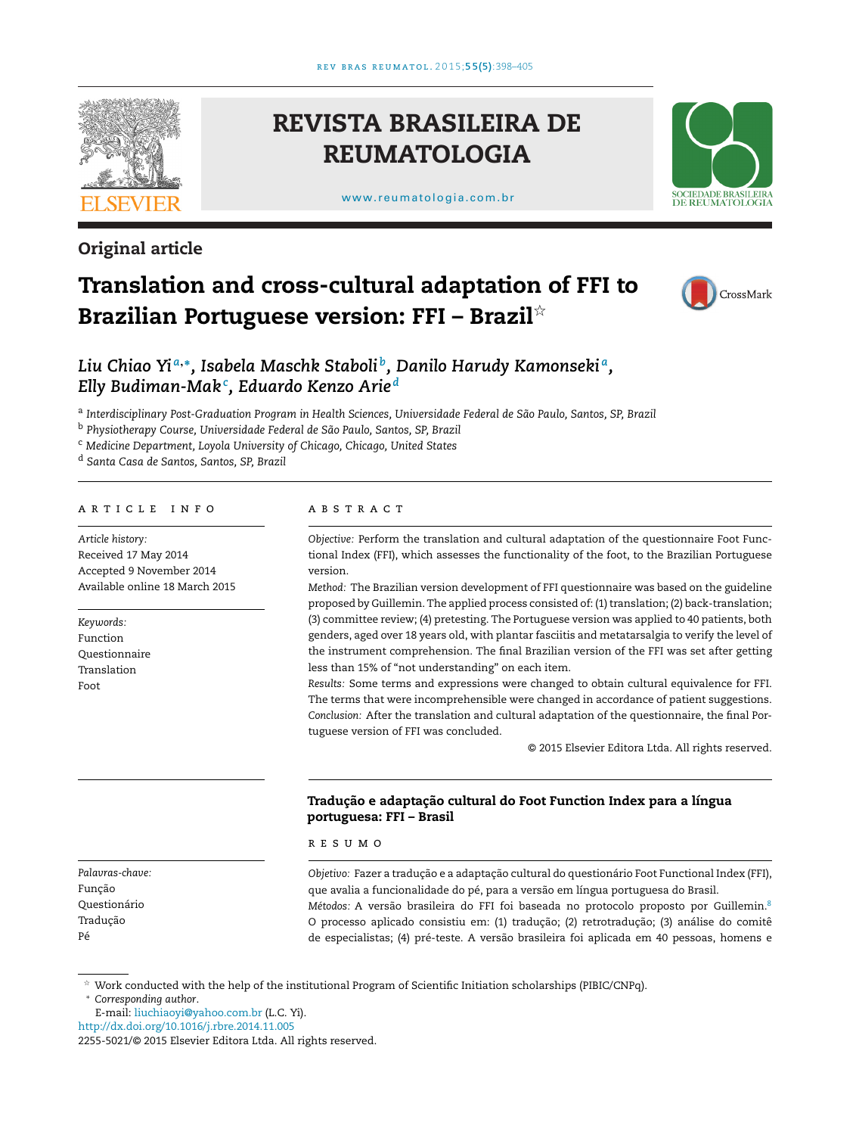

# **Original article**

**REVISTA BRASILEIRA DE REUMATOLOGIA**

[www.reumatologia.com.br](http://www.reumatologia.com.br)



# **Translation and cross-cultural adaptation of FFI to Brazilian Portuguese version: FFI – Brazil**-



# *Liu Chiao Yi <sup>a</sup>***,∗***, Isabela Maschk Staboli b, Danilo Harudy Kamonseki a, Elly Budiman-Mak<sup>c</sup> , Eduardo Kenzo Arie <sup>d</sup>*

<sup>a</sup> *Interdisciplinary Post-Graduation Program in Health Sciences, Universidade Federal de São Paulo, Santos, SP, Brazil*

<sup>b</sup> *Physiotherapy Course, Universidade Federal de São Paulo, Santos, SP, Brazil*

<sup>c</sup> *Medicine Department, Loyola University of Chicago, Chicago, United States*

<sup>d</sup> *Santa Casa de Santos, Santos, SP, Brazil*

# a r t i c l e i n f o

*Article history:* Received 17 May 2014 Accepted 9 November 2014 Available online 18 March 2015

*Keywords:* Function Questionnaire Translation Foot

#### a b s t r a c t

*Objective:* Perform the translation and cultural adaptation of the questionnaire Foot Functional Index (FFI), which assesses the functionality of the foot, to the Brazilian Portuguese version.

*Method:* The Brazilian version development of FFI questionnaire was based on the guideline proposed by Guillemin. The applied process consisted of: (1) translation; (2) back-translation; (3) committee review; (4) pretesting. The Portuguese version was applied to 40 patients, both genders, aged over 18 years old, with plantar fasciitis and metatarsalgia to verify the level of the instrument comprehension. The final Brazilian version of the FFI was set after getting less than 15% of "not understanding" on each item.

*Results:* Some terms and expressions were changed to obtain cultural equivalence for FFI. The terms that were incomprehensible were changed in accordance of patient suggestions. *Conclusion:* After the translation and cultural adaptation of the questionnaire, the final Portuguese version of FFI was concluded.

© 2015 Elsevier Editora Ltda. All rights reserved.

## **Traduc¸ão e adaptac¸ão cultural do Foot Function Index para a língua portuguesa: FFI – Brasil**

r e s u m o

*Objetivo: Fazer a tradução e a adaptação cultural do questionário Foot Functional Index (FFI),* que avalia a funcionalidade do pé, para a versão em língua portuguesa do Brasil. *Métodos:* A versão brasileira do FFI foi baseada no protocolo proposto por Guillemin[.8](#page-7-0) O processo aplicado consistiu em: (1) traduc¸ão; (2) retrotraduc¸ão; (3) análise do comitê de especialistas; (4) pré-teste. A versão brasileira foi aplicada em 40 pessoas, homens e

*Palavras-chave:* Função Questionário Tradução Pé

 $^\star$  Work conducted with the help of the institutional Program of Scientific Initiation scholarships (PIBIC/CNPq).

∗ *Corresponding author*.

E-mail: [liuchiaoyi@yahoo.com.br](mailto:liuchiaoyi@yahoo.com.br) (L.C. Yi).

[http://dx.doi.org/10.1016/j.rbre.2014.11.005](dx.doi.org/10.1016/j.rbre.2014.11.005)

<sup>2255-5021/©</sup> 2015 Elsevier Editora Ltda. All rights reserved.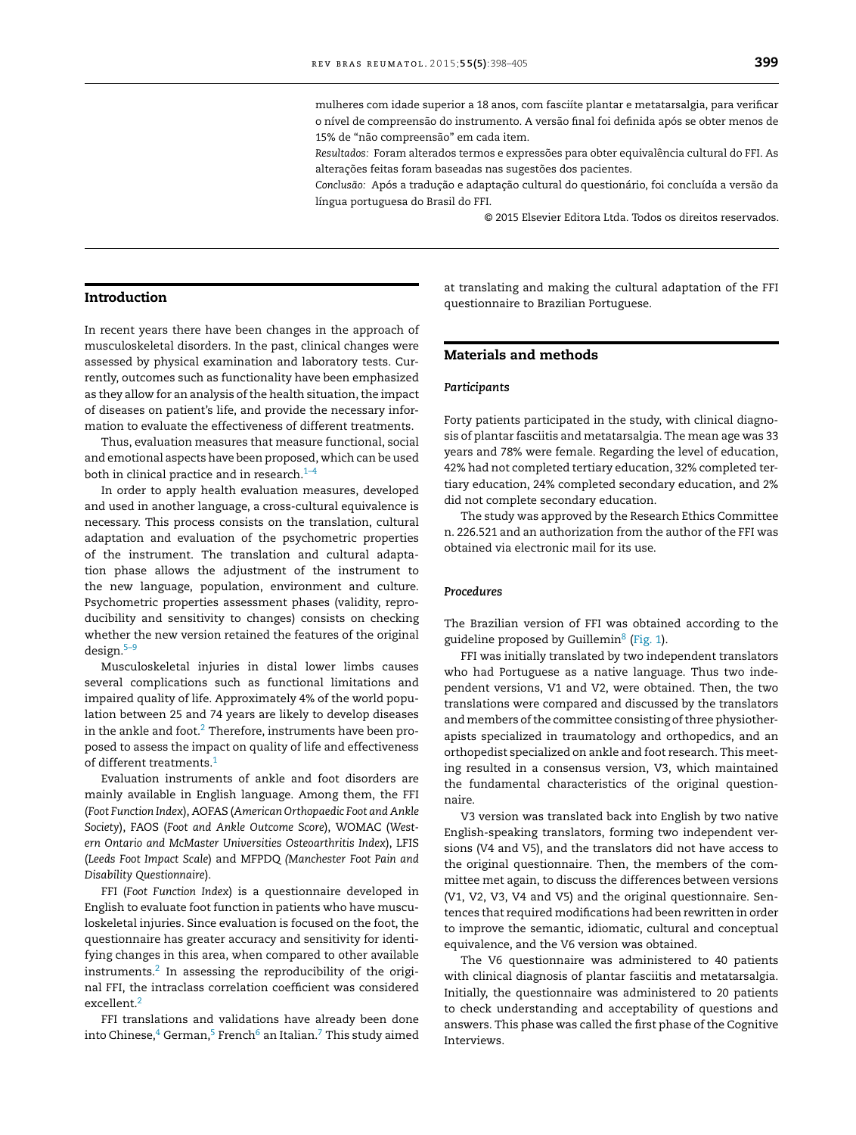mulheres com idade superior a 18 anos, com fasciíte plantar e metatarsalgia, para verificar o nível de compreensão do instrumento. A versão final foi definida após se obter menos de 15% de "não compreensão" em cada item.

*Resultados:* Foram alterados termos e expressões para obter equivalência cultural do FFI. As alterações feitas foram baseadas nas sugestões dos pacientes.

Conclusão: Após a tradução e adaptação cultural do questionário, foi concluída a versão da língua portuguesa do Brasil do FFI.

© 2015 Elsevier Editora Ltda. Todos os direitos reservados.

#### **Introduction**

In recent years there have been changes in the approach of musculoskeletal disorders. In the past, clinical changes were assessed by physical examination and laboratory tests. Currently, outcomes such as functionality have been emphasized as they allow for an analysis of the health situation, the impact of diseases on patient's life, and provide the necessary information to evaluate the effectiveness of different treatments.

Thus, evaluation measures that measure functional, social and emotional aspects have been proposed, which can be used both in clinical practice and in research. $1-4$ 

In order to apply health evaluation measures, developed and used in another language, a cross-cultural equivalence is necessary. This process consists on the translation, cultural adaptation and evaluation of the psychometric properties of the instrument. The translation and cultural adaptation phase allows the adjustment of the instrument to the new language, population, environment and culture. Psychometric properties assessment phases (validity, reproducibility and sensitivity to changes) consists on checking whether the new version retained the features of the original design.[5–9](#page-7-0)

Musculoskeletal injuries in distal lower limbs causes several complications such as functional limitations and impaired quality of life. Approximately 4% of the world population between 25 and 74 years are likely to develop diseases in the ankle and foot. $2$  Therefore, instruments have been proposed to assess the impact on quality of life and effectiveness of different treatments.<sup>[1](#page-7-0)</sup>

Evaluation instruments of ankle and foot disorders are mainly available in English language. Among them, the FFI (*Foot Function Index*), AOFAS (*American Orthopaedic Foot and Ankle Society*), FAOS (*Foot and Ankle Outcome Score*), WOMAC (*Western Ontario and McMaster Universities Osteoarthritis Index*), LFIS (*Leeds Foot Impact Scale*) and MFPDQ *(Manchester Foot Pain and Disability Questionnaire*).

FFI (*Foot Function Index*) is a questionnaire developed in English to evaluate foot function in patients who have musculoskeletal injuries. Since evaluation is focused on the foot, the questionnaire has greater accuracy and sensitivity for identifying changes in this area, when compared to other available instruments. $2$  In assessing the reproducibility of the original FFI, the intraclass correlation coefficient was considered excellent.[2](#page-7-0)

FFI translations and validations have already been done into Chinese, $4$  [G](#page-7-0)erman, $5$  [F](#page-7-0)rench $6$  an Italian. $7$  This study aimed

at translating and making the cultural adaptation of the FFI questionnaire to Brazilian Portuguese.

## **Materials and methods**

#### *Participants*

Forty patients participated in the study, with clinical diagnosis of plantar fasciitis and metatarsalgia. The mean age was 33 years and 78% were female. Regarding the level of education, 42% had not completed tertiary education, 32% completed tertiary education, 24% completed secondary education, and 2% did not complete secondary education.

The study was approved by the Research Ethics Committee n. 226.521 and an authorization from the author of the FFI was obtained via electronic mail for its use.

#### *Procedures*

The Brazilian version of FFI was obtained according to the guideline proposed by Guillemin $^8$  $^8$  [\(Fig.](#page-2-0) 1).

FFI was initially translated by two independent translators who had Portuguese as a native language. Thus two independent versions, V1 and V2, were obtained. Then, the two translations were compared and discussed by the translators and members of the committee consisting of three physiotherapists specialized in traumatology and orthopedics, and an orthopedist specialized on ankle and foot research. This meeting resulted in a consensus version, V3, which maintained the fundamental characteristics of the original questionnaire.

V3 version was translated back into English by two native English-speaking translators, forming two independent versions (V4 and V5), and the translators did not have access to the original questionnaire. Then, the members of the committee met again, to discuss the differences between versions (V1, V2, V3, V4 and V5) and the original questionnaire. Sentences that required modifications had been rewritten in order to improve the semantic, idiomatic, cultural and conceptual equivalence, and the V6 version was obtained.

The V6 questionnaire was administered to 40 patients with clinical diagnosis of plantar fasciitis and metatarsalgia. Initially, the questionnaire was administered to 20 patients to check understanding and acceptability of questions and answers. This phase was called the first phase of the Cognitive Interviews.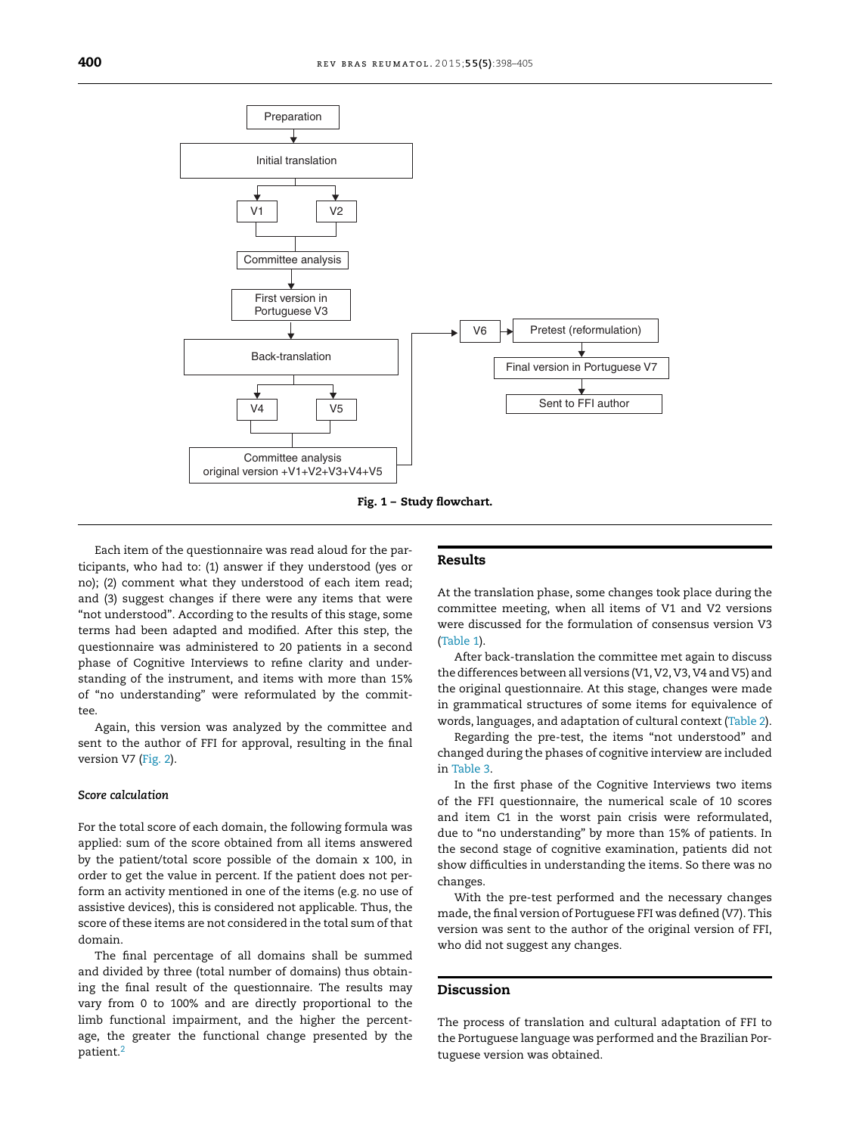<span id="page-2-0"></span>



Each item of the questionnaire was read aloud for the participants, who had to: (1) answer if they understood (yes or no); (2) comment what they understood of each item read; and (3) suggest changes if there were any items that were "not understood". According to the results of this stage, some terms had been adapted and modified. After this step, the questionnaire was administered to 20 patients in a second phase of Cognitive Interviews to refine clarity and understanding of the instrument, and items with more than 15% of "no understanding" were reformulated by the committee.

Again, this version was analyzed by the committee and sent to the author of FFI for approval, resulting in the final version V7 [\(Fig.](#page-3-0) 2).

#### *Score calculation*

For the total score of each domain, the following formula was applied: sum of the score obtained from all items answered by the patient/total score possible of the domain x 100, in order to get the value in percent. If the patient does not perform an activity mentioned in one of the items (e.g. no use of assistive devices), this is considered not applicable. Thus, the score of these items are not considered in the total sum of that domain.

The final percentage of all domains shall be summed and divided by three (total number of domains) thus obtaining the final result of the questionnaire. The results may vary from 0 to 100% and are directly proportional to the limb functional impairment, and the higher the percentage, the greater the functional change presented by the patient.<sup>[2](#page-7-0)</sup>

#### **Results**

At the translation phase, some changes took place during the committee meeting, when all items of V1 and V2 versions were discussed for the formulation of consensus version V3 ([Table](#page-6-0) 1).

After back-translation the committee met again to discuss the differences between all versions (V1, V2, V3, V4 and V5) and the original questionnaire. At this stage, changes were made in grammatical structures of some items for equivalence of words, languages, and adaptation of cultural context ([Table](#page-6-0) 2).

Regarding the pre-test, the items "not understood" and changed during the phases of cognitive interview are included in [Table](#page-6-0) 3.

In the first phase of the Cognitive Interviews two items of the FFI questionnaire, the numerical scale of 10 scores and item C1 in the worst pain crisis were reformulated, due to "no understanding" by more than 15% of patients. In the second stage of cognitive examination, patients did not show difficulties in understanding the items. So there was no changes.

With the pre-test performed and the necessary changes made, the final version of Portuguese FFI was defined (V7). This version was sent to the author of the original version of FFI, who did not suggest any changes.

### **Discussion**

The process of translation and cultural adaptation of FFI to the Portuguese language was performed and the Brazilian Portuguese version was obtained.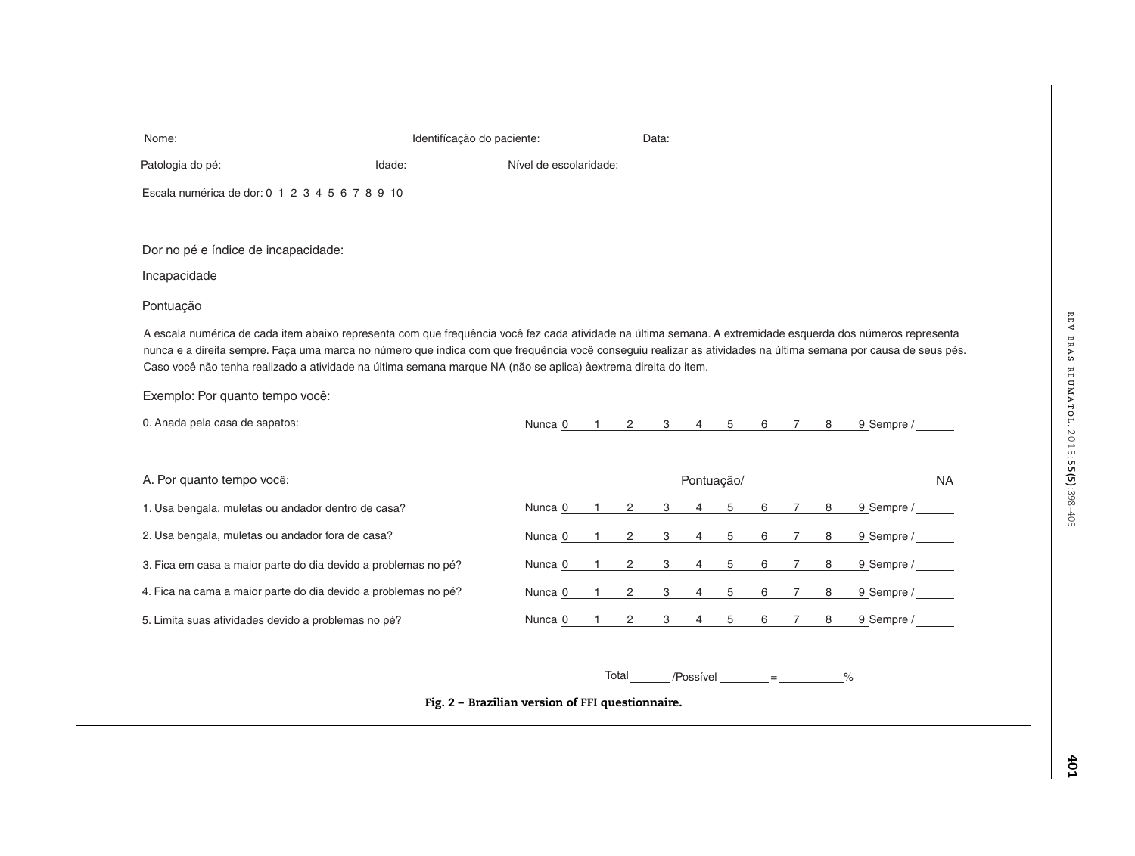| Patologia do pé:                                                                                                                                                                                                                                                                                                                                                                                                                                | Idade: | Nível de escolaridade:                           |              |                   |             |                 |             |   |                |   |            |           |
|-------------------------------------------------------------------------------------------------------------------------------------------------------------------------------------------------------------------------------------------------------------------------------------------------------------------------------------------------------------------------------------------------------------------------------------------------|--------|--------------------------------------------------|--------------|-------------------|-------------|-----------------|-------------|---|----------------|---|------------|-----------|
| Escala numérica de dor: 0 1 2 3 4 5 6 7 8 9 10                                                                                                                                                                                                                                                                                                                                                                                                  |        |                                                  |              |                   |             |                 |             |   |                |   |            |           |
|                                                                                                                                                                                                                                                                                                                                                                                                                                                 |        |                                                  |              |                   |             |                 |             |   |                |   |            |           |
| Dor no pé e índice de incapacidade:                                                                                                                                                                                                                                                                                                                                                                                                             |        |                                                  |              |                   |             |                 |             |   |                |   |            |           |
| Incapacidade                                                                                                                                                                                                                                                                                                                                                                                                                                    |        |                                                  |              |                   |             |                 |             |   |                |   |            |           |
| Pontuação                                                                                                                                                                                                                                                                                                                                                                                                                                       |        |                                                  |              |                   |             |                 |             |   |                |   |            |           |
| A escala numérica de cada item abaixo representa com que frequência você fez cada atividade na última semana. A extremidade esquerda dos números representa<br>nunca e a direita sempre. Faça uma marca no número que indica com que frequência você conseguiu realizar as atividades na última semana por causa de seus pés.<br>Caso você não tenha realizado a atividade na última semana marque NA (não se aplica) àextrema direita do item. |        |                                                  |              |                   |             |                 |             |   |                |   |            |           |
| Exemplo: Por quanto tempo você:                                                                                                                                                                                                                                                                                                                                                                                                                 |        |                                                  |              |                   |             |                 |             |   |                |   |            |           |
| 0. Anada pela casa de sapatos:                                                                                                                                                                                                                                                                                                                                                                                                                  |        | Nunca 0                                          |              | $1 \quad 2$       | $3^{\circ}$ | $\overline{4}$  | $5^{\circ}$ |   | 6 7            | 8 | 9 Sempre / |           |
|                                                                                                                                                                                                                                                                                                                                                                                                                                                 |        |                                                  |              |                   |             |                 |             |   |                |   |            |           |
| A. Por quanto tempo você:                                                                                                                                                                                                                                                                                                                                                                                                                       |        |                                                  |              |                   |             | Pontuação/      |             |   |                |   |            | <b>NA</b> |
| 1. Usa bengala, muletas ou andador dentro de casa?                                                                                                                                                                                                                                                                                                                                                                                              |        | Nunca 0                                          |              | $\overline{2}$    | 3           | 4               | 5           | 6 | $7^{\circ}$    | 8 | 9 Sempre / |           |
| 2. Usa bengala, muletas ou andador fora de casa?                                                                                                                                                                                                                                                                                                                                                                                                |        | Nunca 0                                          | $1 \quad$    | $\mathbf{2}$      | 3           | $4\overline{ }$ | 5           | 6 | 7              | 8 | 9 Sempre / |           |
| 3. Fica em casa a maior parte do dia devido a problemas no pé?                                                                                                                                                                                                                                                                                                                                                                                  |        | Nunca 0                                          | 1            | $\overline{2}$    | 3           | $\overline{4}$  | 5           | 6 | $\overline{7}$ | 8 | 9 Sempre / |           |
| 4. Fica na cama a maior parte do dia devido a problemas no pé?                                                                                                                                                                                                                                                                                                                                                                                  |        | Nunca 0                                          | $\mathbf{1}$ | $\overline{2}$    | 3           | $\overline{4}$  | 5           | 6 | $7^{\circ}$    | 8 | 9 Sempre / |           |
| 5. Limita suas atividades devido a problemas no pé?                                                                                                                                                                                                                                                                                                                                                                                             |        | Nunca 0                                          | $\mathbf{1}$ | $\overline{2}$    | 3           | $\overline{4}$  | 5           | 6 | $\overline{7}$ | 8 | 9 Sempre / |           |
|                                                                                                                                                                                                                                                                                                                                                                                                                                                 |        |                                                  |              |                   |             |                 |             |   |                |   |            |           |
|                                                                                                                                                                                                                                                                                                                                                                                                                                                 |        |                                                  |              | Total /Possível = |             |                 |             |   |                |   | $\%$       |           |
|                                                                                                                                                                                                                                                                                                                                                                                                                                                 |        | Fig. 2 - Brazilian version of FFI questionnaire. |              |                   |             |                 |             |   |                |   |            |           |
|                                                                                                                                                                                                                                                                                                                                                                                                                                                 |        |                                                  |              |                   |             |                 |             |   |                |   |            |           |

<span id="page-3-0"></span>Nome: Identifícação do paciente: Data: Data: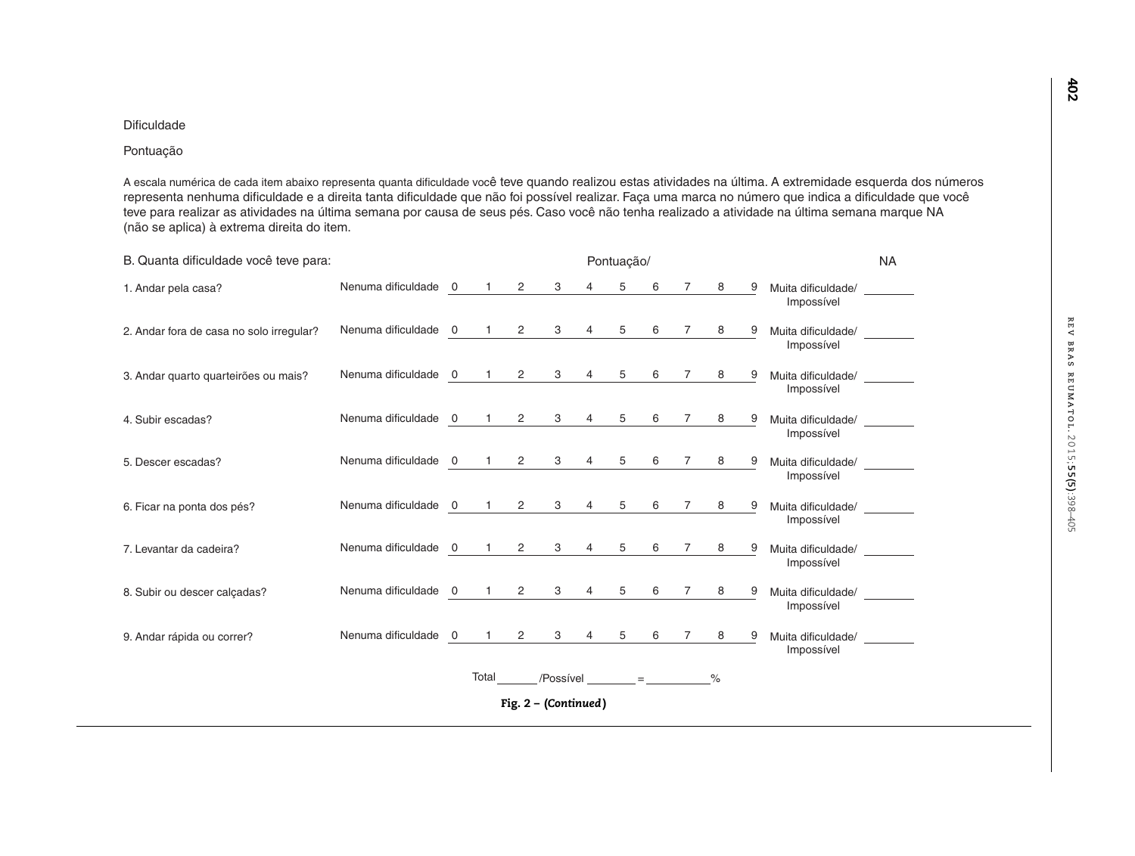# Dificuldade

# Pontuação

A escala numérica de cada item abaixo representa quanta dificuldade você teve quando realizou estas atividades na última. A extremidade esquerda dos números representa nenhuma dificuldade e a direita tanta dificuldade que não foi possível realizar. Faça uma marca no número que indica a dificuldade que você teve para realizar as atividades na última semana por causa de seus pés. Caso você não tenha realizado a atividade na última semana marque NA (não se aplica) à extrema direita do item.

| B. Quanta dificuldade você teve para:    |                                                           |       |                        |                | Pontuação/            |   |                |   |   |                                  | <b>NA</b> |
|------------------------------------------|-----------------------------------------------------------|-------|------------------------|----------------|-----------------------|---|----------------|---|---|----------------------------------|-----------|
| 1. Andar pela casa?                      | Nenuma dificuldade 0 1 2                                  |       | $3^{\circ}$            | 4              | $5^{\circ}$           |   | 6 7 8          |   | 9 | Muita dificuldade/<br>Impossível |           |
| 2. Andar fora de casa no solo irregular? | Nenuma dificuldade 0 1 2 3 4 5 6 7 8 9                    |       |                        |                |                       |   |                |   |   | Muita dificuldade/<br>Impossível |           |
| 3. Andar quarto quarteirões ou mais?     | Nenuma dificuldade 0 1 2                                  |       | 3                      | $\overline{4}$ | $5^{\circ}$           |   | 6 7            | 8 | 9 | Muita dificuldade/<br>Impossível |           |
| 4. Subir escadas?                        | Nenuma dificuldade 0 1 2 3 4 5 6 7 8 9 Muita dificuldade/ |       |                        |                |                       |   |                |   |   | Impossível                       |           |
| 5. Descer escadas?                       | Nenuma dificuldade 0 1 2                                  |       |                        |                | $3 \qquad 4 \qquad 5$ | 6 | $\overline{7}$ | 8 | 9 | Muita dificuldade/<br>Impossível |           |
| 6. Ficar na ponta dos pés?               | Nenuma dificuldade 0 1 2 3 4                              |       |                        |                | $5^{\circ}$           |   | 6 7            | 8 | 9 | Muita dificuldade/<br>Impossível |           |
| 7. Levantar da cadeira?                  | Nenuma dificuldade 0 1 2 3 4 5                            |       |                        |                |                       |   | 6 7            | 8 | 9 | Muita dificuldade/<br>Impossível |           |
| 8. Subir ou descer calcadas?             | Nenuma dificuldade 0 1 2 3 4                              |       |                        |                | 5 <sub>5</sub>        | 6 | $\overline{7}$ | 8 | 9 | Muita dificuldade/<br>Impossível |           |
| 9. Andar rápida ou correr?               | Nenuma dificuldade 0 1 2 3 4 5 6 7                        |       |                        |                |                       |   |                | 8 | 9 | Muita dificuldade/<br>Impossível |           |
|                                          |                                                           | Total | $/$ Possível = $\%$    |                |                       |   |                |   |   |                                  |           |
|                                          |                                                           |       | Fig. $2 - (Continued)$ |                |                       |   |                |   |   |                                  |           |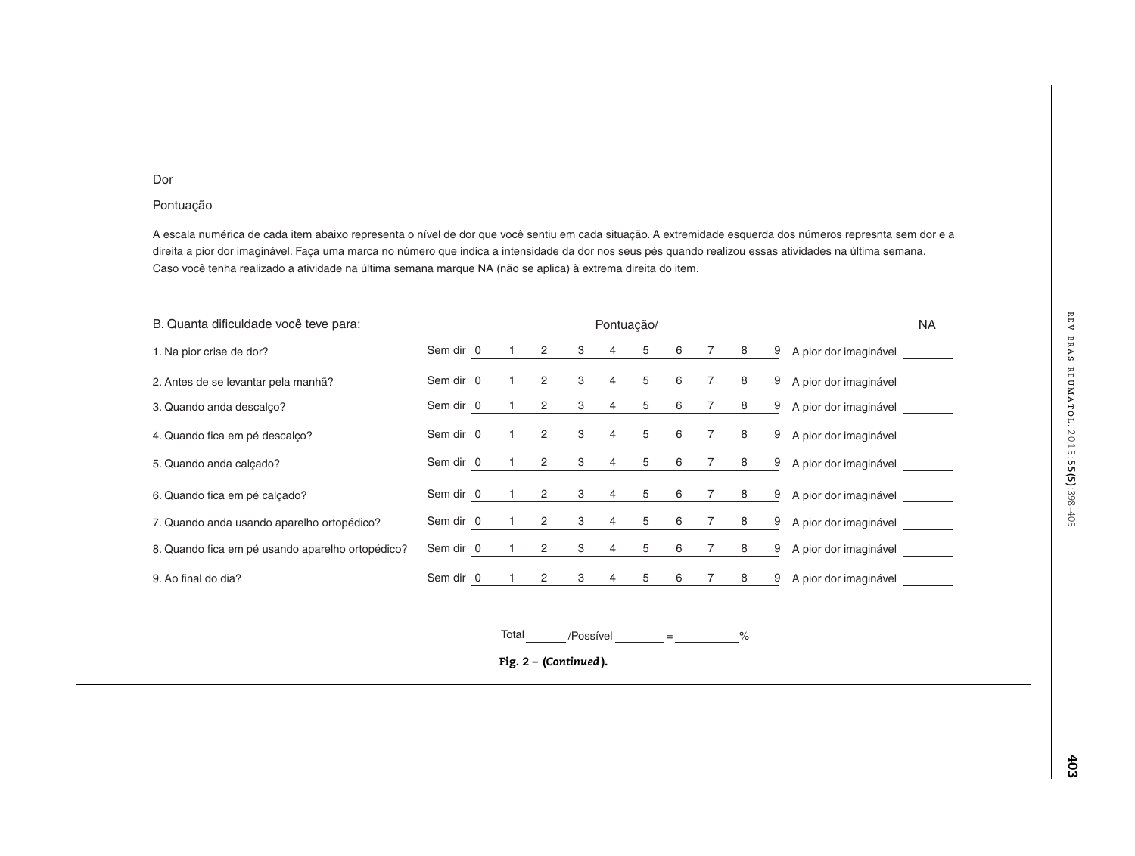#### Dor

# Pontuação

A escala numérica de cada item abaixo representa o nível de dor que você sentiu em cada situação. A extremidade esquerda dos números represnta sem dor e a direita a pior dor imaginável. Faça uma marca no número que indica a intensidade da dor nos seus pés quando realizou essas atividades na última semana. Caso você tenha realizado a atividade na última semana marque NA (não se aplica) à extrema direita do item.

| B. Quanta dificuldade você teve para:            | Pontuação/ |  |  |                |             |                | <b>NA</b>      |   |                 |           |   |                       |  |
|--------------------------------------------------|------------|--|--|----------------|-------------|----------------|----------------|---|-----------------|-----------|---|-----------------------|--|
| 1. Na pior crise de dor?                         | Sem dir 0  |  |  | $\overline{2}$ |             | $3 \quad 4$    | $5^{\circ}$    | 6 | $\overline{7}$  | 8         | 9 | A pior dor imaginável |  |
| 2. Antes de se levantar pela manhã?              | Sem dir 0  |  |  | $\overline{2}$ | $3^{\circ}$ | 4              | $5^{\circ}$    | 6 | $7\overline{ }$ | 8         | 9 | A pior dor imaginável |  |
| 3. Quando anda descalço?                         | Sem dir 0  |  |  | $\overline{2}$ | $3^{\circ}$ | $\overline{4}$ | 5 <sub>5</sub> | 6 | 7               | 8         | 9 | A pior dor imaginável |  |
| 4. Quando fica em pé descalço?                   | Sem dir 0  |  |  | 2              | $3^{\circ}$ | $4 \quad$      | 5 <sub>5</sub> | 6 | $7\overline{ }$ | 8         | 9 | A pior dor imaginável |  |
| 5. Quando anda calçado?                          | Sem dir 0  |  |  | $\overline{2}$ | 3           | $\overline{4}$ | $5^{\circ}$    | 6 | $7\overline{ }$ | 8         | 9 | A pior dor imaginável |  |
| 6. Quando fica em pé calçado?                    | Sem dir 0  |  |  | 2              | $3^{\circ}$ |                |                |   |                 | 4 5 6 7 8 | 9 | A pior dor imaginável |  |
| 7. Quando anda usando aparelho ortopédico?       | Sem dir 0  |  |  | $\overline{2}$ |             | $3 \quad 4$    | $5^{\circ}$    | 6 | $\overline{7}$  | 8         | 9 | A pior dor imaginável |  |
| 8. Quando fica em pé usando aparelho ortopédico? | Sem dir 0  |  |  | $\overline{2}$ |             | $3 \quad 4$    | $5^{\circ}$    | 6 | $\overline{7}$  | 8         | 9 | A pior dor imaginável |  |
| 9. Ao final do dia?                              | Sem dir 0  |  |  | $\overline{2}$ | 3           | $\overline{4}$ | 5              | 6 | 7               | 8         | 9 | A pior dor imaginável |  |
|                                                  |            |  |  |                |             |                |                |   |                 |           |   |                       |  |

Total /Possívell \_\_\_\_\_\_\_ = \_\_\_\_\_\_\_\_\_\_\_\_%

**Fig. <sup>2</sup> – (***Continued* **).**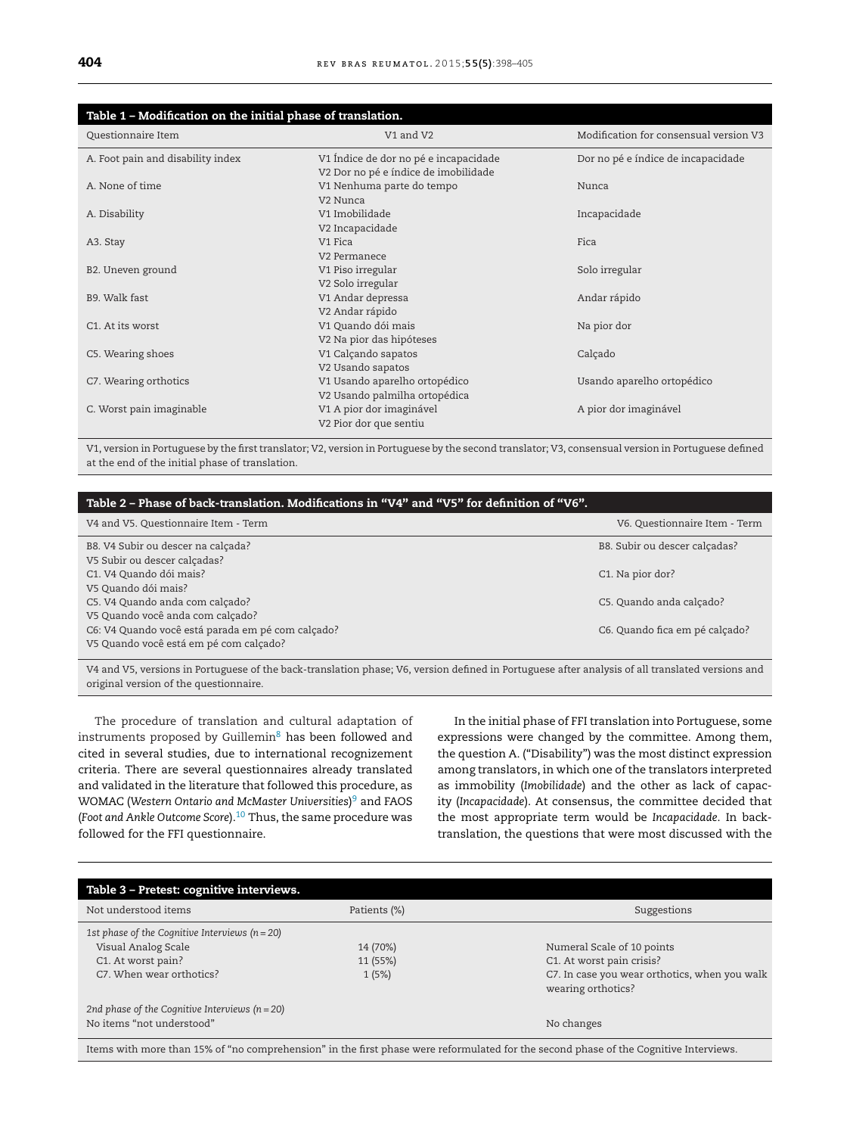<span id="page-6-0"></span>

| Table 1 - Modification on the initial phase of translation. |                                                                               |                                        |  |  |  |  |  |
|-------------------------------------------------------------|-------------------------------------------------------------------------------|----------------------------------------|--|--|--|--|--|
| Questionnaire Item<br>V1 and V2                             |                                                                               | Modification for consensual version V3 |  |  |  |  |  |
| A. Foot pain and disability index                           | V1 Índice de dor no pé e incapacidade<br>V2 Dor no pé e índice de imobilidade | Dor no pé e índice de incapacidade     |  |  |  |  |  |
| A. None of time                                             | V1 Nenhuma parte do tempo<br>V2 Nunca                                         | Nunca                                  |  |  |  |  |  |
| A. Disability                                               | V1 Imobilidade<br>V2 Incapacidade                                             | Incapacidade                           |  |  |  |  |  |
| A3. Stay                                                    | V <sub>1</sub> Fica<br>V2 Permanece                                           | Fica                                   |  |  |  |  |  |
| B2. Uneven ground                                           | V1 Piso irregular<br>V2 Solo irregular                                        | Solo irregular                         |  |  |  |  |  |
| B9. Walk fast                                               | V1 Andar depressa<br>V2 Andar rápido                                          | Andar rápido                           |  |  |  |  |  |
| C <sub>1</sub> . At its worst                               | V1 Quando dói mais<br>V2 Na pior das hipóteses                                | Na pior dor                            |  |  |  |  |  |
| C5. Wearing shoes                                           | V1 Calçando sapatos<br>V2 Usando sapatos                                      | Calçado                                |  |  |  |  |  |
| C7. Wearing orthotics                                       | V1 Usando aparelho ortopédico<br>V2 Usando palmilha ortopédica                | Usando aparelho ortopédico             |  |  |  |  |  |
| C. Worst pain imaginable                                    | V1 A pior dor imaginável<br>V2 Pior dor que sentiu                            | A pior dor imaginável                  |  |  |  |  |  |

V1, version in Portuguese by the first translator; V2, version in Portuguese by the second translator; V3, consensual version in Portuguese defined at the end of the initial phase of translation.

| Table 2 – Phase of back-translation. Modifications in "V4" and "V5" for definition of "V6". |                                |  |  |  |  |  |
|---------------------------------------------------------------------------------------------|--------------------------------|--|--|--|--|--|
| V4 and V5. Questionnaire Item - Term                                                        | V6. Questionnaire Item - Term  |  |  |  |  |  |
| B8. V4 Subir ou descer na calçada?<br>V5 Subir ou descer calcadas?                          | B8. Subir ou descer calcadas?  |  |  |  |  |  |
| C1. V4 Quando dói mais?<br>V5 Quando dói mais?                                              | C1. Na pior dor?               |  |  |  |  |  |
| C5. V4 Quando anda com calçado?<br>V5 Quando você anda com calcado?                         | C5. Quando anda calçado?       |  |  |  |  |  |
| C6: V4 Quando você está parada em pé com calçado?<br>V5 Quando você está em pé com calçado? | C6. Quando fica em pé calçado? |  |  |  |  |  |

V4 and V5, versions in Portuguese of the back-translation phase; V6, version defined in Portuguese after analysis of all translated versions and original version of the questionnaire.

The procedure of translation and cultural adaptation of instruments proposed by Guillemin $8$  has been followed and cited in several studies, due to international recognizement criteria. There are several questionnaires already translated and validated in the literature that followed this procedure, as WOMAC (*Western Ontario and McMaster Universities*) [9](#page-7-0) and FAOS (*Foot and Ankle Outcome Score*)[.10](#page-7-0) Thus, the same procedure was followed for the FFI questionnaire.

In the initial phase of FFI translation into Portuguese, some expressions were changed by the committee. Among them, the question A. ("Disability") was the most distinct expression among translators, in which one of the translators interpreted as immobility (*Imobilidade*) and the other as lack of capacity (*Incapacidade*). At consensus, the committee decided that the most appropriate term would be *Incapacidade*. In backtranslation, the questions that were most discussed with the

| Not understood items<br>Patients (%) |                                               |  |  |
|--------------------------------------|-----------------------------------------------|--|--|
|                                      |                                               |  |  |
| 14 (70%)                             | Numeral Scale of 10 points                    |  |  |
| 11 (55%)                             | C1. At worst pain crisis?                     |  |  |
| 1(5%)                                | C7. In case you wear orthotics, when you walk |  |  |
|                                      | wearing orthotics?                            |  |  |
|                                      |                                               |  |  |
|                                      | No changes                                    |  |  |
|                                      |                                               |  |  |

Items with more than 15% of "no comprehension" in the first phase were reformulated for the second phase of the Cognitive Interviews.